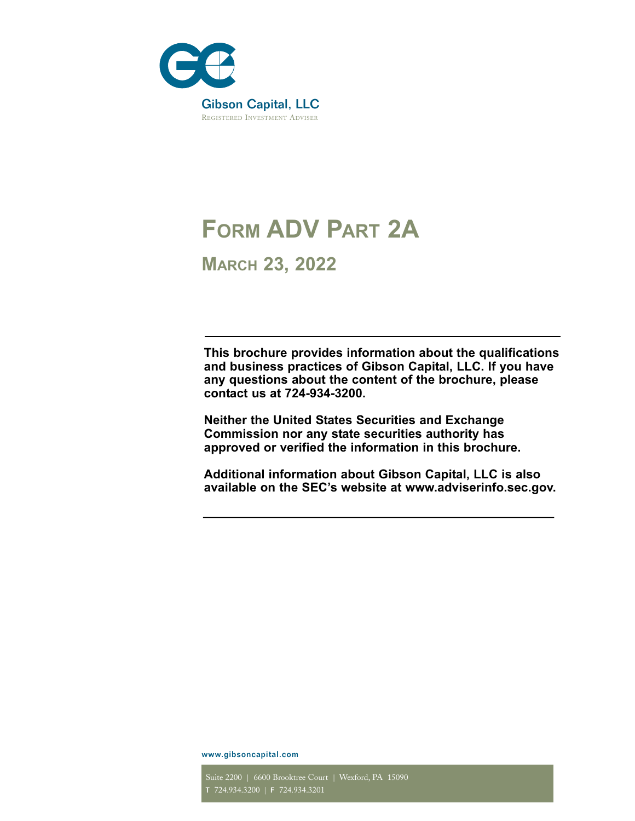

# **FORM ADV PART 2A**

**MARCH 23, 2022**

**This brochure provides information about the qualifications and business practices of Gibson Capital, LLC. If you have any questions about the content of the brochure, please contact us at 724-934-3200.** 

**Neither the United States Securities and Exchange Commission nor any state securities authority has approved or verified the information in this brochure.**

**Additional information about Gibson Capital, LLC is also available on the SEC's website at www.adviserinfo.sec.gov.**

www.gibsoncapital.com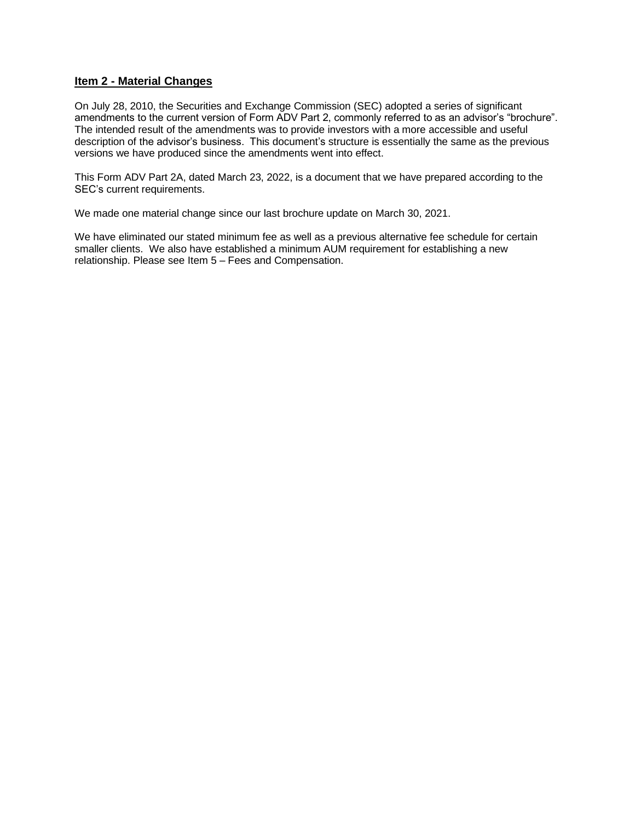#### **Item 2 - Material Changes**

On July 28, 2010, the Securities and Exchange Commission (SEC) adopted a series of significant amendments to the current version of Form ADV Part 2, commonly referred to as an advisor's "brochure". The intended result of the amendments was to provide investors with a more accessible and useful description of the advisor's business. This document's structure is essentially the same as the previous versions we have produced since the amendments went into effect.

This Form ADV Part 2A, dated March 23, 2022, is a document that we have prepared according to the SEC's current requirements.

We made one material change since our last brochure update on March 30, 2021.

We have eliminated our stated minimum fee as well as a previous alternative fee schedule for certain smaller clients. We also have established a minimum AUM requirement for establishing a new relationship. Please see Item 5 – Fees and Compensation.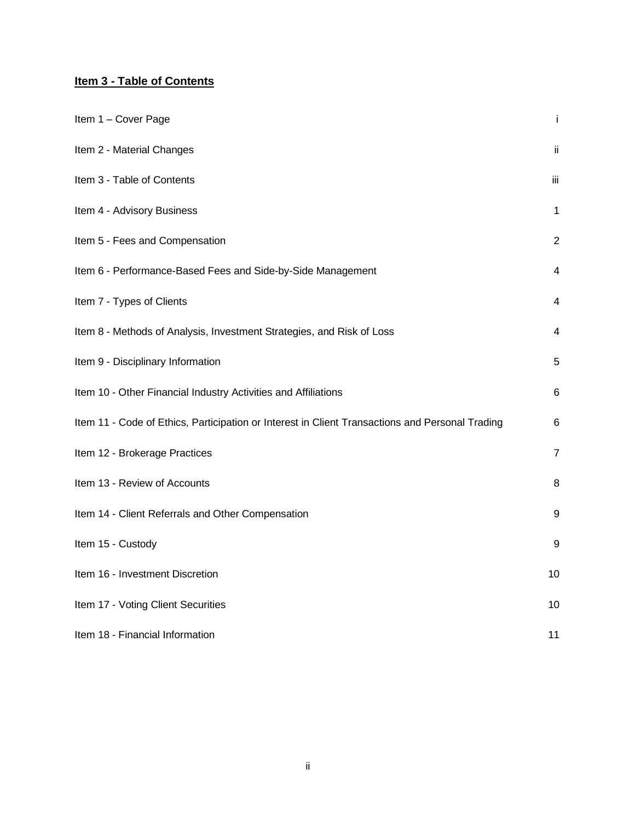# **Item 3 - Table of Contents**

| Item 1 - Cover Page                                                                             | Ť              |
|-------------------------------------------------------------------------------------------------|----------------|
| Item 2 - Material Changes                                                                       | ij.            |
| Item 3 - Table of Contents                                                                      | iii            |
| Item 4 - Advisory Business                                                                      | 1              |
| Item 5 - Fees and Compensation                                                                  | $\overline{2}$ |
| Item 6 - Performance-Based Fees and Side-by-Side Management                                     | 4              |
| Item 7 - Types of Clients                                                                       | 4              |
| Item 8 - Methods of Analysis, Investment Strategies, and Risk of Loss                           | 4              |
| Item 9 - Disciplinary Information                                                               | 5              |
| Item 10 - Other Financial Industry Activities and Affiliations                                  | 6              |
| Item 11 - Code of Ethics, Participation or Interest in Client Transactions and Personal Trading | 6              |
| Item 12 - Brokerage Practices                                                                   | $\overline{7}$ |
| Item 13 - Review of Accounts                                                                    | 8              |
| Item 14 - Client Referrals and Other Compensation                                               | 9              |
| Item 15 - Custody                                                                               | 9              |
| Item 16 - Investment Discretion                                                                 | 10             |
| Item 17 - Voting Client Securities                                                              | 10             |
| Item 18 - Financial Information                                                                 | 11             |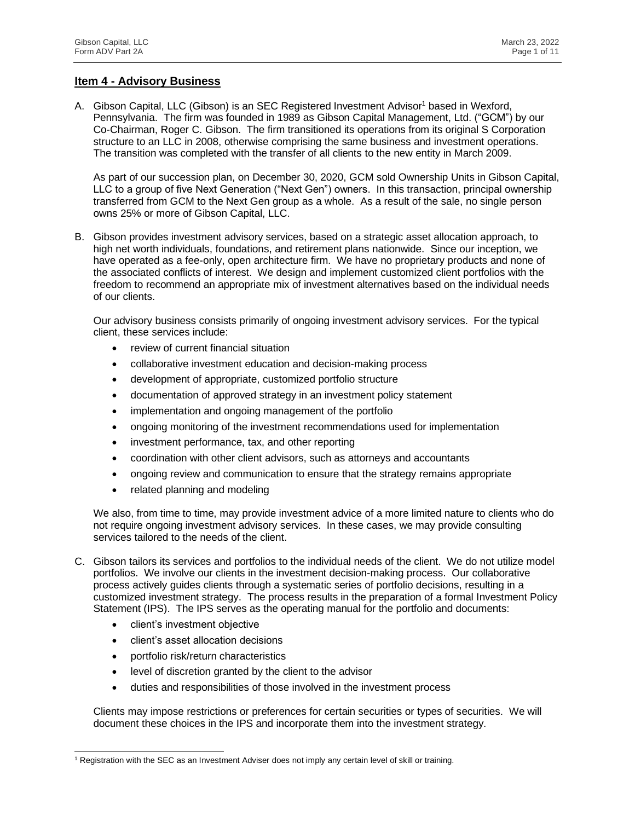# **Item 4 - Advisory Business**

A. Gibson Capital, LLC (Gibson) is an SEC Registered Investment Advisor<sup>1</sup> based in Wexford, Pennsylvania. The firm was founded in 1989 as Gibson Capital Management, Ltd. ("GCM") by our Co-Chairman, Roger C. Gibson. The firm transitioned its operations from its original S Corporation structure to an LLC in 2008, otherwise comprising the same business and investment operations. The transition was completed with the transfer of all clients to the new entity in March 2009.

As part of our succession plan, on December 30, 2020, GCM sold Ownership Units in Gibson Capital, LLC to a group of five Next Generation ("Next Gen") owners. In this transaction, principal ownership transferred from GCM to the Next Gen group as a whole. As a result of the sale, no single person owns 25% or more of Gibson Capital, LLC.

B. Gibson provides investment advisory services, based on a strategic asset allocation approach, to high net worth individuals, foundations, and retirement plans nationwide. Since our inception, we have operated as a fee-only, open architecture firm. We have no proprietary products and none of the associated conflicts of interest. We design and implement customized client portfolios with the freedom to recommend an appropriate mix of investment alternatives based on the individual needs of our clients.

Our advisory business consists primarily of ongoing investment advisory services. For the typical client, these services include:

- review of current financial situation
- collaborative investment education and decision-making process
- development of appropriate, customized portfolio structure
- documentation of approved strategy in an investment policy statement
- implementation and ongoing management of the portfolio
- ongoing monitoring of the investment recommendations used for implementation
- investment performance, tax, and other reporting
- coordination with other client advisors, such as attorneys and accountants
- ongoing review and communication to ensure that the strategy remains appropriate
- related planning and modeling

We also, from time to time, may provide investment advice of a more limited nature to clients who do not require ongoing investment advisory services. In these cases, we may provide consulting services tailored to the needs of the client.

- C. Gibson tailors its services and portfolios to the individual needs of the client. We do not utilize model portfolios. We involve our clients in the investment decision-making process. Our collaborative process actively guides clients through a systematic series of portfolio decisions, resulting in a customized investment strategy. The process results in the preparation of a formal Investment Policy Statement (IPS). The IPS serves as the operating manual for the portfolio and documents:
	- client's investment objective
	- client's asset allocation decisions
	- portfolio risk/return characteristics
	- level of discretion granted by the client to the advisor
	- duties and responsibilities of those involved in the investment process

Clients may impose restrictions or preferences for certain securities or types of securities. We will document these choices in the IPS and incorporate them into the investment strategy.

<sup>1</sup> Registration with the SEC as an Investment Adviser does not imply any certain level of skill or training.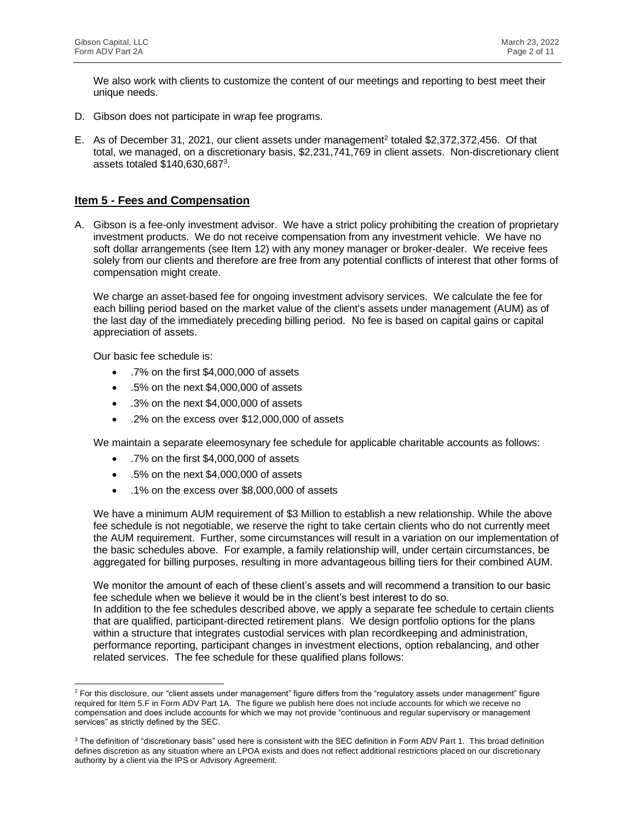We also work with clients to customize the content of our meetings and reporting to best meet their unique needs.

- D. Gibson does not participate in wrap fee programs.
- E. As of December 31, 2021, our client assets under management<sup>2</sup> totaled \$2,372,372,456. Of that total, we managed, on a discretionary basis, \$2,231,741,769 in client assets. Non-discretionary client assets totaled \$140,630,687<sup>3</sup>.

#### **Item 5 - Fees and Compensation**

A. Gibson is a fee-only investment advisor. We have a strict policy prohibiting the creation of proprietary investment products. We do not receive compensation from any investment vehicle. We have no soft dollar arrangements (see Item 12) with any money manager or broker-dealer. We receive fees solely from our clients and therefore are free from any potential conflicts of interest that other forms of compensation might create.

We charge an asset-based fee for ongoing investment advisory services. We calculate the fee for each billing period based on the market value of the client's assets under management (AUM) as of the last day of the immediately preceding billing period. No fee is based on capital gains or capital appreciation of assets.

Our basic fee schedule is:

- .7% on the first \$4,000,000 of assets
- .5% on the next \$4,000,000 of assets
- .3% on the next \$4,000,000 of assets
- .2% on the excess over \$12,000,000 of assets

We maintain a separate eleemosynary fee schedule for applicable charitable accounts as follows:

- .7% on the first \$4,000,000 of assets
- .5% on the next \$4,000,000 of assets
- .1% on the excess over \$8,000,000 of assets

We have a minimum AUM requirement of \$3 Million to establish a new relationship. While the above fee schedule is not negotiable, we reserve the right to take certain clients who do not currently meet the AUM requirement. Further, some circumstances will result in a variation on our implementation of the basic schedules above. For example, a family relationship will, under certain circumstances, be aggregated for billing purposes, resulting in more advantageous billing tiers for their combined AUM.

We monitor the amount of each of these client's assets and will recommend a transition to our basic fee schedule when we believe it would be in the client's best interest to do so. In addition to the fee schedules described above, we apply a separate fee schedule to certain clients that are qualified, participant-directed retirement plans. We design portfolio options for the plans within a structure that integrates custodial services with plan recordkeeping and administration, performance reporting, participant changes in investment elections, option rebalancing, and other related services. The fee schedule for these qualified plans follows:

 $2$  For this disclosure, our "client assets under management" figure differs from the "regulatory assets under management" figure required for Item 5.F in Form ADV Part 1A. The figure we publish here does not include accounts for which we receive no compensation and does include accounts for which we may not provide "continuous and regular supervisory or management services" as strictly defined by the SEC.

<sup>&</sup>lt;sup>3</sup> The definition of "discretionary basis" used here is consistent with the SEC definition in Form ADV Part 1. This broad definition defines discretion as any situation where an LPOA exists and does not reflect additional restrictions placed on our discretionary authority by a client via the IPS or Advisory Agreement.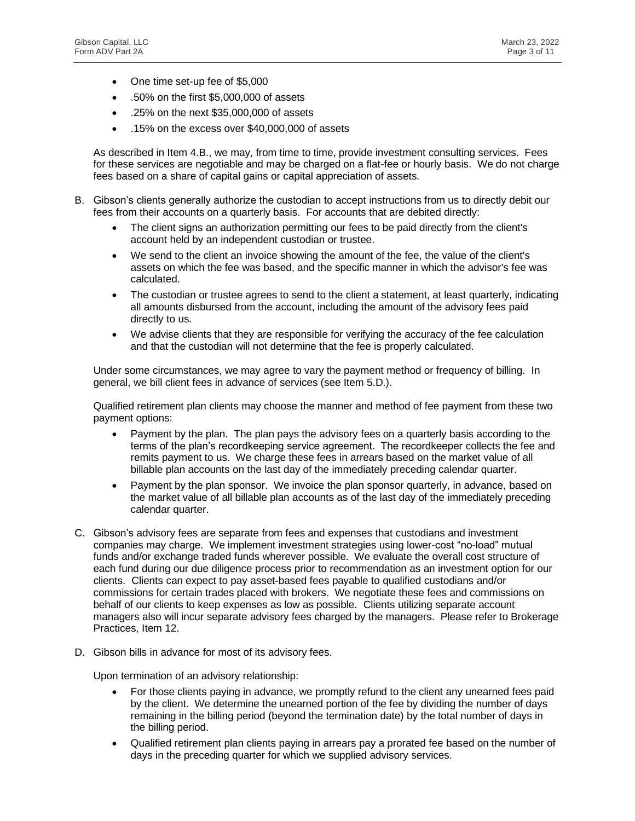- One time set-up fee of \$5,000
- .50% on the first \$5,000,000 of assets
- .25% on the next \$35,000,000 of assets
- .15% on the excess over \$40,000,000 of assets

As described in Item 4.B., we may, from time to time, provide investment consulting services. Fees for these services are negotiable and may be charged on a flat-fee or hourly basis. We do not charge fees based on a share of capital gains or capital appreciation of assets.

- B. Gibson's clients generally authorize the custodian to accept instructions from us to directly debit our fees from their accounts on a quarterly basis. For accounts that are debited directly:
	- The client signs an authorization permitting our fees to be paid directly from the client's account held by an independent custodian or trustee.
	- We send to the client an invoice showing the amount of the fee, the value of the client's assets on which the fee was based, and the specific manner in which the advisor's fee was calculated.
	- The custodian or trustee agrees to send to the client a statement, at least quarterly, indicating all amounts disbursed from the account, including the amount of the advisory fees paid directly to us.
	- We advise clients that they are responsible for verifying the accuracy of the fee calculation and that the custodian will not determine that the fee is properly calculated.

Under some circumstances, we may agree to vary the payment method or frequency of billing. In general, we bill client fees in advance of services (see Item 5.D.).

Qualified retirement plan clients may choose the manner and method of fee payment from these two payment options:

- Payment by the plan. The plan pays the advisory fees on a quarterly basis according to the terms of the plan's recordkeeping service agreement. The recordkeeper collects the fee and remits payment to us. We charge these fees in arrears based on the market value of all billable plan accounts on the last day of the immediately preceding calendar quarter.
- Payment by the plan sponsor. We invoice the plan sponsor quarterly, in advance, based on the market value of all billable plan accounts as of the last day of the immediately preceding calendar quarter.
- C. Gibson's advisory fees are separate from fees and expenses that custodians and investment companies may charge. We implement investment strategies using lower-cost "no-load" mutual funds and/or exchange traded funds wherever possible. We evaluate the overall cost structure of each fund during our due diligence process prior to recommendation as an investment option for our clients. Clients can expect to pay asset-based fees payable to qualified custodians and/or commissions for certain trades placed with brokers. We negotiate these fees and commissions on behalf of our clients to keep expenses as low as possible. Clients utilizing separate account managers also will incur separate advisory fees charged by the managers. Please refer to Brokerage Practices, Item 12.
- D. Gibson bills in advance for most of its advisory fees.

Upon termination of an advisory relationship:

- For those clients paying in advance, we promptly refund to the client any unearned fees paid by the client. We determine the unearned portion of the fee by dividing the number of days remaining in the billing period (beyond the termination date) by the total number of days in the billing period.
- Qualified retirement plan clients paying in arrears pay a prorated fee based on the number of days in the preceding quarter for which we supplied advisory services.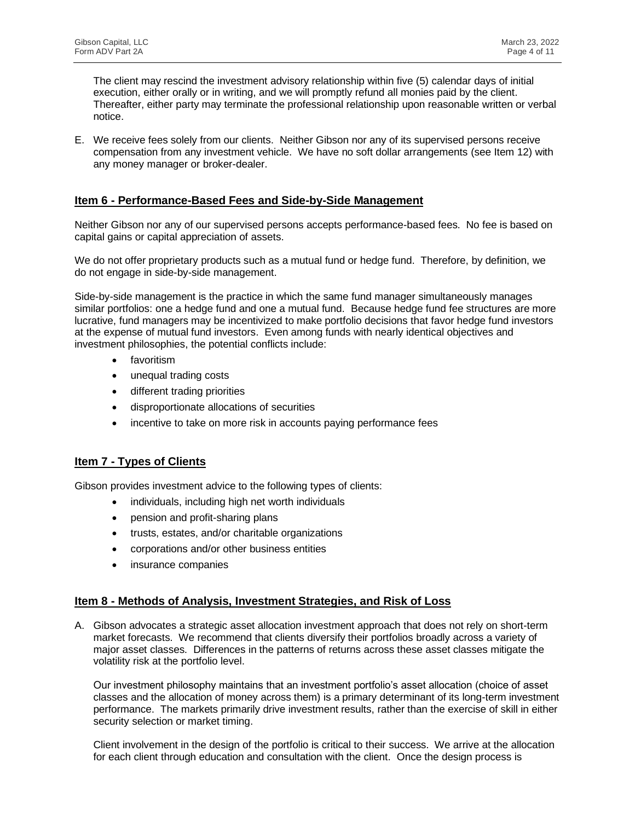The client may rescind the investment advisory relationship within five (5) calendar days of initial execution, either orally or in writing, and we will promptly refund all monies paid by the client. Thereafter, either party may terminate the professional relationship upon reasonable written or verbal notice.

E. We receive fees solely from our clients. Neither Gibson nor any of its supervised persons receive compensation from any investment vehicle. We have no soft dollar arrangements (see Item 12) with any money manager or broker-dealer.

#### **Item 6 - Performance-Based Fees and Side-by-Side Management**

Neither Gibson nor any of our supervised persons accepts performance-based fees. No fee is based on capital gains or capital appreciation of assets.

We do not offer proprietary products such as a mutual fund or hedge fund. Therefore, by definition, we do not engage in side-by-side management.

Side-by-side management is the practice in which the same fund manager simultaneously manages similar portfolios: one a hedge fund and one a mutual fund. Because hedge fund fee structures are more lucrative, fund managers may be incentivized to make portfolio decisions that favor hedge fund investors at the expense of mutual fund investors. Even among funds with nearly identical objectives and investment philosophies, the potential conflicts include:

- favoritism
- unequal trading costs
- different trading priorities
- disproportionate allocations of securities
- incentive to take on more risk in accounts paying performance fees

#### **Item 7 - Types of Clients**

Gibson provides investment advice to the following types of clients:

- individuals, including high net worth individuals
- pension and profit-sharing plans
- trusts, estates, and/or charitable organizations
- corporations and/or other business entities
- insurance companies

#### **Item 8 - Methods of Analysis, Investment Strategies, and Risk of Loss**

A. Gibson advocates a strategic asset allocation investment approach that does not rely on short-term market forecasts. We recommend that clients diversify their portfolios broadly across a variety of major asset classes. Differences in the patterns of returns across these asset classes mitigate the volatility risk at the portfolio level.

Our investment philosophy maintains that an investment portfolio's asset allocation (choice of asset classes and the allocation of money across them) is a primary determinant of its long-term investment performance. The markets primarily drive investment results, rather than the exercise of skill in either security selection or market timing.

Client involvement in the design of the portfolio is critical to their success. We arrive at the allocation for each client through education and consultation with the client. Once the design process is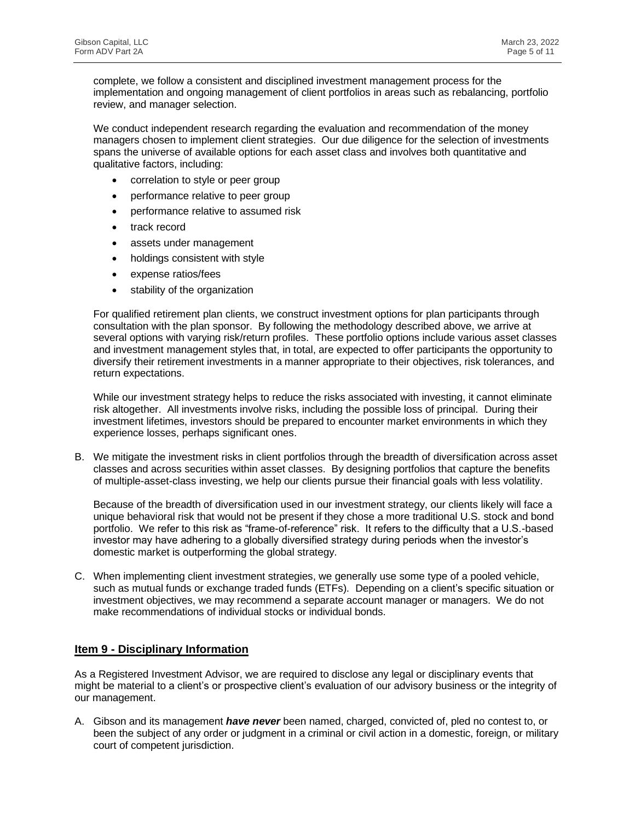complete, we follow a consistent and disciplined investment management process for the implementation and ongoing management of client portfolios in areas such as rebalancing, portfolio review, and manager selection.

We conduct independent research regarding the evaluation and recommendation of the money managers chosen to implement client strategies. Our due diligence for the selection of investments spans the universe of available options for each asset class and involves both quantitative and qualitative factors, including:

- correlation to style or peer group
- performance relative to peer group
- performance relative to assumed risk
- track record
- assets under management
- holdings consistent with style
- expense ratios/fees
- stability of the organization

For qualified retirement plan clients, we construct investment options for plan participants through consultation with the plan sponsor. By following the methodology described above, we arrive at several options with varying risk/return profiles. These portfolio options include various asset classes and investment management styles that, in total, are expected to offer participants the opportunity to diversify their retirement investments in a manner appropriate to their objectives, risk tolerances, and return expectations.

While our investment strategy helps to reduce the risks associated with investing, it cannot eliminate risk altogether. All investments involve risks, including the possible loss of principal. During their investment lifetimes, investors should be prepared to encounter market environments in which they experience losses, perhaps significant ones.

B. We mitigate the investment risks in client portfolios through the breadth of diversification across asset classes and across securities within asset classes. By designing portfolios that capture the benefits of multiple-asset-class investing, we help our clients pursue their financial goals with less volatility.

Because of the breadth of diversification used in our investment strategy, our clients likely will face a unique behavioral risk that would not be present if they chose a more traditional U.S. stock and bond portfolio. We refer to this risk as "frame-of-reference" risk. It refers to the difficulty that a U.S.-based investor may have adhering to a globally diversified strategy during periods when the investor's domestic market is outperforming the global strategy.

C. When implementing client investment strategies, we generally use some type of a pooled vehicle, such as mutual funds or exchange traded funds (ETFs). Depending on a client's specific situation or investment objectives, we may recommend a separate account manager or managers. We do not make recommendations of individual stocks or individual bonds.

#### **Item 9 - Disciplinary Information**

As a Registered Investment Advisor, we are required to disclose any legal or disciplinary events that might be material to a client's or prospective client's evaluation of our advisory business or the integrity of our management.

A. Gibson and its management *have never* been named, charged, convicted of, pled no contest to, or been the subject of any order or judgment in a criminal or civil action in a domestic, foreign, or military court of competent jurisdiction.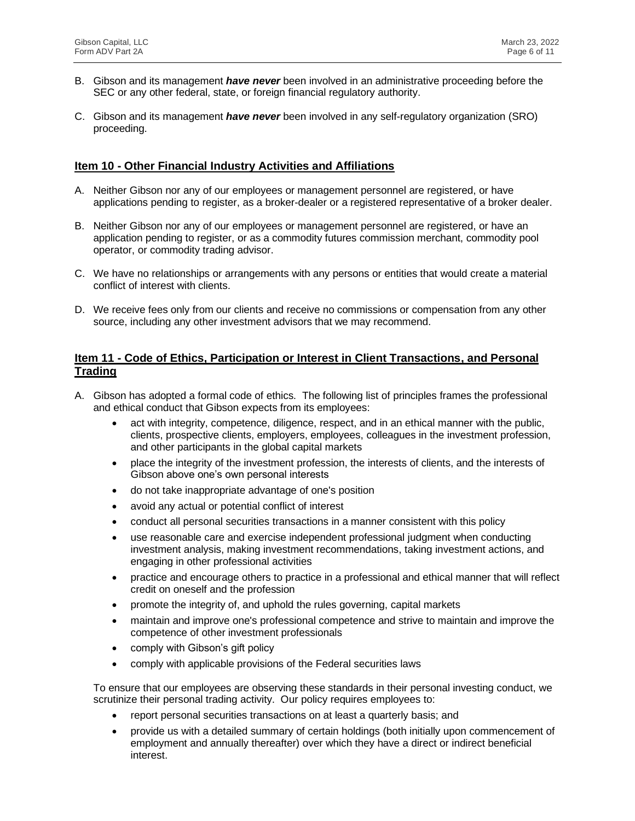- B. Gibson and its management *have never* been involved in an administrative proceeding before the SEC or any other federal, state, or foreign financial regulatory authority.
- C. Gibson and its management *have never* been involved in any self-regulatory organization (SRO) proceeding.

#### **Item 10 - Other Financial Industry Activities and Affiliations**

- A. Neither Gibson nor any of our employees or management personnel are registered, or have applications pending to register, as a broker-dealer or a registered representative of a broker dealer.
- B. Neither Gibson nor any of our employees or management personnel are registered, or have an application pending to register, or as a commodity futures commission merchant, commodity pool operator, or commodity trading advisor.
- C. We have no relationships or arrangements with any persons or entities that would create a material conflict of interest with clients.
- D. We receive fees only from our clients and receive no commissions or compensation from any other source, including any other investment advisors that we may recommend.

#### **Item 11 - Code of Ethics, Participation or Interest in Client Transactions, and Personal Trading**

- A. Gibson has adopted a formal code of ethics. The following list of principles frames the professional and ethical conduct that Gibson expects from its employees:
	- act with integrity, competence, diligence, respect, and in an ethical manner with the public, clients, prospective clients, employers, employees, colleagues in the investment profession, and other participants in the global capital markets
	- place the integrity of the investment profession, the interests of clients, and the interests of Gibson above one's own personal interests
	- do not take inappropriate advantage of one's position
	- avoid any actual or potential conflict of interest
	- conduct all personal securities transactions in a manner consistent with this policy
	- use reasonable care and exercise independent professional judgment when conducting investment analysis, making investment recommendations, taking investment actions, and engaging in other professional activities
	- practice and encourage others to practice in a professional and ethical manner that will reflect credit on oneself and the profession
	- promote the integrity of, and uphold the rules governing, capital markets
	- maintain and improve one's professional competence and strive to maintain and improve the competence of other investment professionals
	- comply with Gibson's gift policy
	- comply with applicable provisions of the Federal securities laws

To ensure that our employees are observing these standards in their personal investing conduct, we scrutinize their personal trading activity. Our policy requires employees to:

- report personal securities transactions on at least a quarterly basis; and
- provide us with a detailed summary of certain holdings (both initially upon commencement of employment and annually thereafter) over which they have a direct or indirect beneficial interest.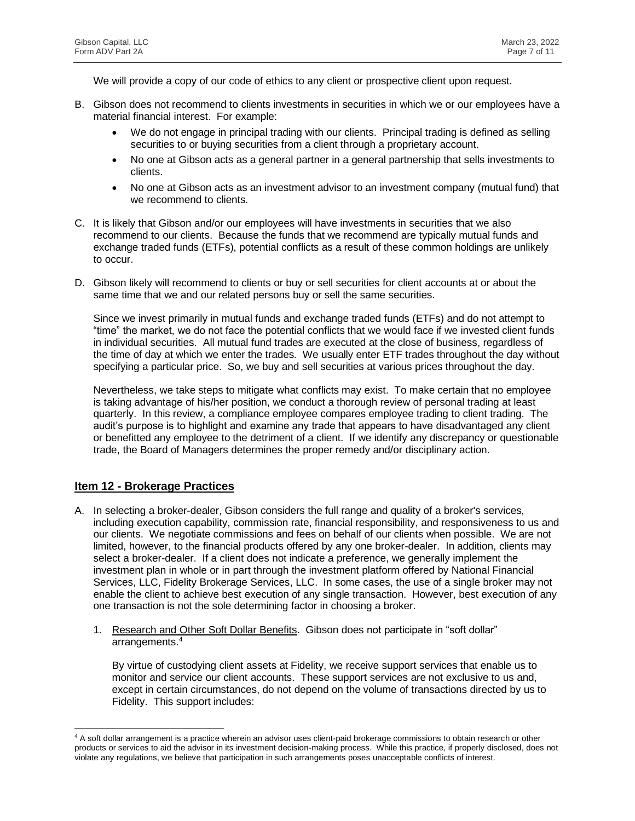We will provide a copy of our code of ethics to any client or prospective client upon request.

- B. Gibson does not recommend to clients investments in securities in which we or our employees have a material financial interest. For example:
	- We do not engage in principal trading with our clients. Principal trading is defined as selling securities to or buying securities from a client through a proprietary account.
	- No one at Gibson acts as a general partner in a general partnership that sells investments to clients.
	- No one at Gibson acts as an investment advisor to an investment company (mutual fund) that we recommend to clients.
- C. It is likely that Gibson and/or our employees will have investments in securities that we also recommend to our clients. Because the funds that we recommend are typically mutual funds and exchange traded funds (ETFs), potential conflicts as a result of these common holdings are unlikely to occur.
- D. Gibson likely will recommend to clients or buy or sell securities for client accounts at or about the same time that we and our related persons buy or sell the same securities.

Since we invest primarily in mutual funds and exchange traded funds (ETFs) and do not attempt to "time" the market, we do not face the potential conflicts that we would face if we invested client funds in individual securities. All mutual fund trades are executed at the close of business, regardless of the time of day at which we enter the trades. We usually enter ETF trades throughout the day without specifying a particular price. So, we buy and sell securities at various prices throughout the day.

Nevertheless, we take steps to mitigate what conflicts may exist. To make certain that no employee is taking advantage of his/her position, we conduct a thorough review of personal trading at least quarterly. In this review, a compliance employee compares employee trading to client trading. The audit's purpose is to highlight and examine any trade that appears to have disadvantaged any client or benefitted any employee to the detriment of a client. If we identify any discrepancy or questionable trade, the Board of Managers determines the proper remedy and/or disciplinary action.

# **Item 12 - Brokerage Practices**

- A. In selecting a broker-dealer, Gibson considers the full range and quality of a broker's services, including execution capability, commission rate, financial responsibility, and responsiveness to us and our clients. We negotiate commissions and fees on behalf of our clients when possible. We are not limited, however, to the financial products offered by any one broker-dealer. In addition, clients may select a broker-dealer. If a client does not indicate a preference, we generally implement the investment plan in whole or in part through the investment platform offered by National Financial Services, LLC, Fidelity Brokerage Services, LLC. In some cases, the use of a single broker may not enable the client to achieve best execution of any single transaction. However, best execution of any one transaction is not the sole determining factor in choosing a broker.
	- 1. Research and Other Soft Dollar Benefits. Gibson does not participate in "soft dollar" arrangements.<sup>4</sup>

By virtue of custodying client assets at Fidelity, we receive support services that enable us to monitor and service our client accounts. These support services are not exclusive to us and, except in certain circumstances, do not depend on the volume of transactions directed by us to Fidelity. This support includes:

<sup>&</sup>lt;sup>4</sup> A soft dollar arrangement is a practice wherein an advisor uses client-paid brokerage commissions to obtain research or other products or services to aid the advisor in its investment decision-making process. While this practice, if properly disclosed, does not violate any regulations, we believe that participation in such arrangements poses unacceptable conflicts of interest.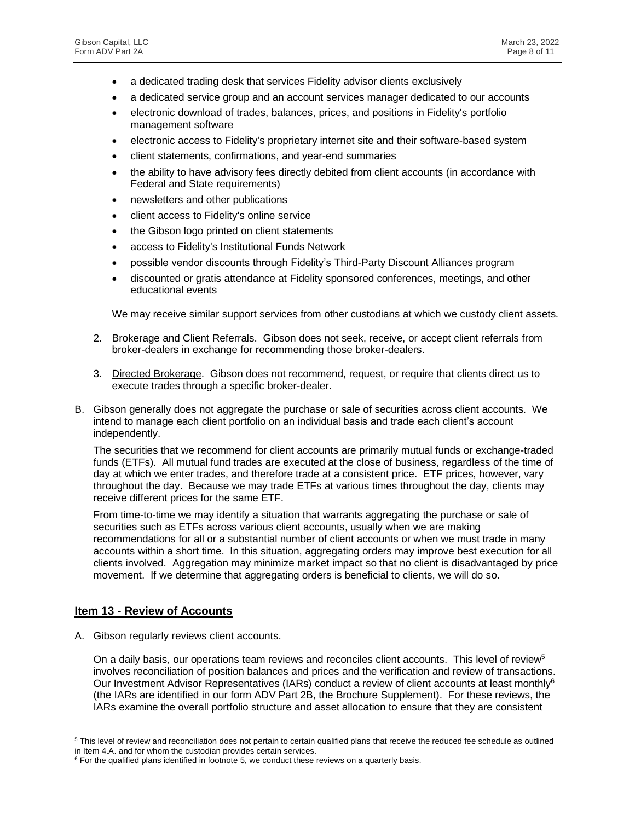- a dedicated trading desk that services Fidelity advisor clients exclusively
- a dedicated service group and an account services manager dedicated to our accounts
- electronic download of trades, balances, prices, and positions in Fidelity's portfolio management software
- electronic access to Fidelity's proprietary internet site and their software-based system
- client statements, confirmations, and year-end summaries
- the ability to have advisory fees directly debited from client accounts (in accordance with Federal and State requirements)
- newsletters and other publications
- client access to Fidelity's online service
- the Gibson logo printed on client statements
- access to Fidelity's Institutional Funds Network
- possible vendor discounts through Fidelity's Third-Party Discount Alliances program
- discounted or gratis attendance at Fidelity sponsored conferences, meetings, and other educational events

We may receive similar support services from other custodians at which we custody client assets.

- 2. Brokerage and Client Referrals. Gibson does not seek, receive, or accept client referrals from broker-dealers in exchange for recommending those broker-dealers.
- 3. Directed Brokerage. Gibson does not recommend, request, or require that clients direct us to execute trades through a specific broker-dealer.
- B. Gibson generally does not aggregate the purchase or sale of securities across client accounts. We intend to manage each client portfolio on an individual basis and trade each client's account independently.

The securities that we recommend for client accounts are primarily mutual funds or exchange-traded funds (ETFs). All mutual fund trades are executed at the close of business, regardless of the time of day at which we enter trades, and therefore trade at a consistent price. ETF prices, however, vary throughout the day. Because we may trade ETFs at various times throughout the day, clients may receive different prices for the same ETF.

From time-to-time we may identify a situation that warrants aggregating the purchase or sale of securities such as ETFs across various client accounts, usually when we are making recommendations for all or a substantial number of client accounts or when we must trade in many accounts within a short time. In this situation, aggregating orders may improve best execution for all clients involved. Aggregation may minimize market impact so that no client is disadvantaged by price movement. If we determine that aggregating orders is beneficial to clients, we will do so.

#### **Item 13 - Review of Accounts**

A. Gibson regularly reviews client accounts.

On a daily basis, our operations team reviews and reconciles client accounts. This level of review<sup>5</sup> involves reconciliation of position balances and prices and the verification and review of transactions. Our Investment Advisor Representatives (IARs) conduct a review of client accounts at least monthly<sup>6</sup> (the IARs are identified in our form ADV Part 2B, the Brochure Supplement). For these reviews, the IARs examine the overall portfolio structure and asset allocation to ensure that they are consistent

 $5$  This level of review and reconciliation does not pertain to certain qualified plans that receive the reduced fee schedule as outlined in Item 4.A. and for whom the custodian provides certain services.

 $6$  For the qualified plans identified in footnote 5, we conduct these reviews on a quarterly basis.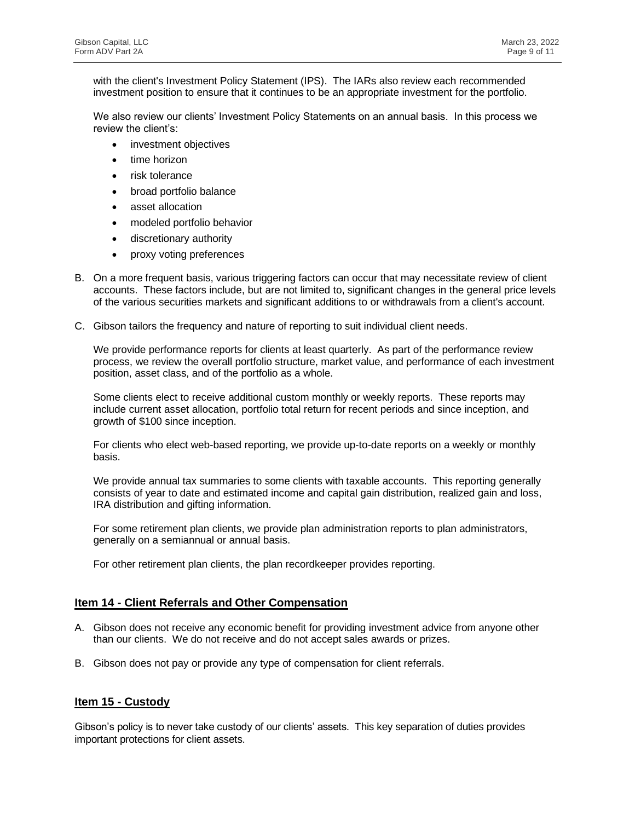with the client's Investment Policy Statement (IPS). The IARs also review each recommended investment position to ensure that it continues to be an appropriate investment for the portfolio.

We also review our clients' Investment Policy Statements on an annual basis. In this process we review the client's:

- investment objectives
- time horizon
- risk tolerance
- broad portfolio balance
- asset allocation
- modeled portfolio behavior
- discretionary authority
- proxy voting preferences
- B. On a more frequent basis, various triggering factors can occur that may necessitate review of client accounts. These factors include, but are not limited to, significant changes in the general price levels of the various securities markets and significant additions to or withdrawals from a client's account.
- C. Gibson tailors the frequency and nature of reporting to suit individual client needs.

We provide performance reports for clients at least quarterly. As part of the performance review process, we review the overall portfolio structure, market value, and performance of each investment position, asset class, and of the portfolio as a whole.

Some clients elect to receive additional custom monthly or weekly reports. These reports may include current asset allocation, portfolio total return for recent periods and since inception, and growth of \$100 since inception.

For clients who elect web-based reporting, we provide up-to-date reports on a weekly or monthly basis.

We provide annual tax summaries to some clients with taxable accounts. This reporting generally consists of year to date and estimated income and capital gain distribution, realized gain and loss, IRA distribution and gifting information.

For some retirement plan clients, we provide plan administration reports to plan administrators, generally on a semiannual or annual basis.

For other retirement plan clients, the plan recordkeeper provides reporting.

#### **Item 14 - Client Referrals and Other Compensation**

- A. Gibson does not receive any economic benefit for providing investment advice from anyone other than our clients. We do not receive and do not accept sales awards or prizes.
- B. Gibson does not pay or provide any type of compensation for client referrals.

#### **Item 15 - Custody**

Gibson's policy is to never take custody of our clients' assets. This key separation of duties provides important protections for client assets.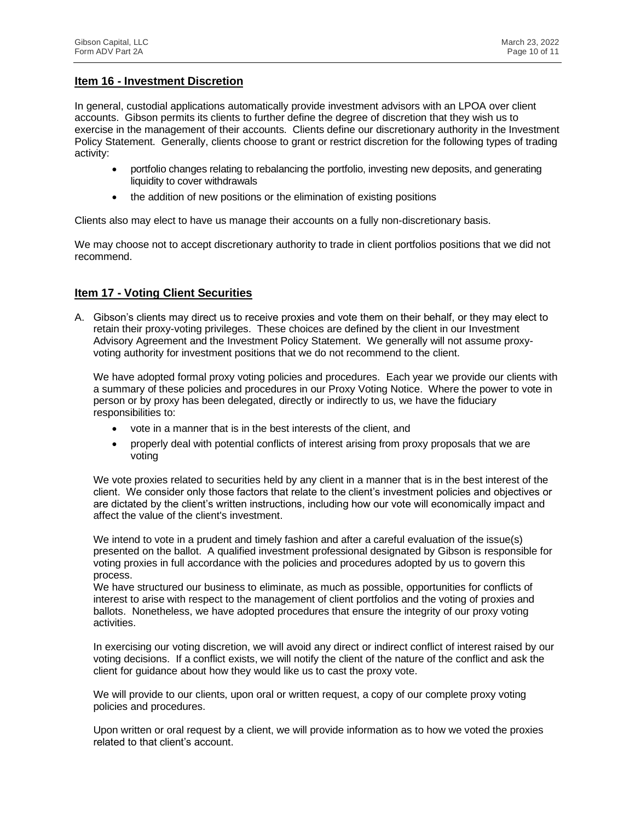#### **Item 16 - Investment Discretion**

In general, custodial applications automatically provide investment advisors with an LPOA over client accounts. Gibson permits its clients to further define the degree of discretion that they wish us to exercise in the management of their accounts. Clients define our discretionary authority in the Investment Policy Statement. Generally, clients choose to grant or restrict discretion for the following types of trading activity:

- portfolio changes relating to rebalancing the portfolio, investing new deposits, and generating liquidity to cover withdrawals
- the addition of new positions or the elimination of existing positions

Clients also may elect to have us manage their accounts on a fully non-discretionary basis.

We may choose not to accept discretionary authority to trade in client portfolios positions that we did not recommend.

# **Item 17 - Voting Client Securities**

A. Gibson's clients may direct us to receive proxies and vote them on their behalf, or they may elect to retain their proxy-voting privileges. These choices are defined by the client in our Investment Advisory Agreement and the Investment Policy Statement. We generally will not assume proxyvoting authority for investment positions that we do not recommend to the client.

We have adopted formal proxy voting policies and procedures. Each year we provide our clients with a summary of these policies and procedures in our Proxy Voting Notice. Where the power to vote in person or by proxy has been delegated, directly or indirectly to us, we have the fiduciary responsibilities to:

- vote in a manner that is in the best interests of the client, and
- properly deal with potential conflicts of interest arising from proxy proposals that we are voting

We vote proxies related to securities held by any client in a manner that is in the best interest of the client. We consider only those factors that relate to the client's investment policies and objectives or are dictated by the client's written instructions, including how our vote will economically impact and affect the value of the client's investment.

We intend to vote in a prudent and timely fashion and after a careful evaluation of the issue(s) presented on the ballot. A qualified investment professional designated by Gibson is responsible for voting proxies in full accordance with the policies and procedures adopted by us to govern this process.

We have structured our business to eliminate, as much as possible, opportunities for conflicts of interest to arise with respect to the management of client portfolios and the voting of proxies and ballots. Nonetheless, we have adopted procedures that ensure the integrity of our proxy voting activities.

In exercising our voting discretion, we will avoid any direct or indirect conflict of interest raised by our voting decisions. If a conflict exists, we will notify the client of the nature of the conflict and ask the client for guidance about how they would like us to cast the proxy vote.

We will provide to our clients, upon oral or written request, a copy of our complete proxy voting policies and procedures.

Upon written or oral request by a client, we will provide information as to how we voted the proxies related to that client's account.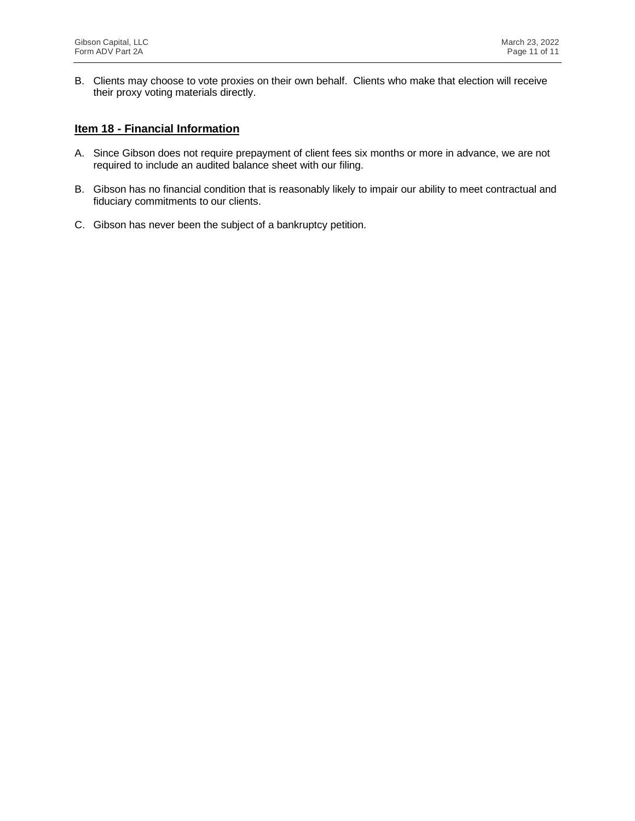B. Clients may choose to vote proxies on their own behalf. Clients who make that election will receive their proxy voting materials directly.

#### **Item 18 - Financial Information**

- A. Since Gibson does not require prepayment of client fees six months or more in advance, we are not required to include an audited balance sheet with our filing.
- B. Gibson has no financial condition that is reasonably likely to impair our ability to meet contractual and fiduciary commitments to our clients.
- C. Gibson has never been the subject of a bankruptcy petition.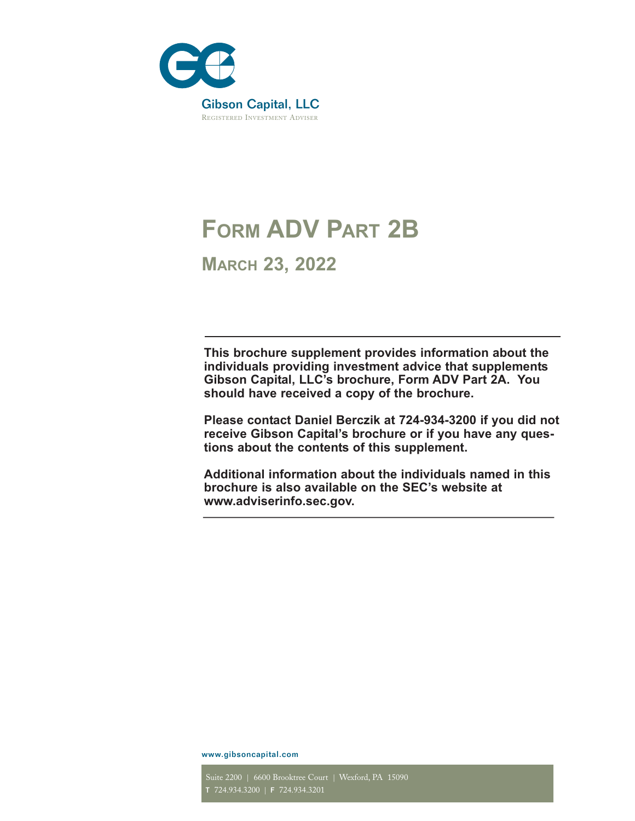

# **FORM ADV** PART 2B

**MARCH 23, 2022**

**This brochure supplement provides information about the individuals providing investment advice that supplements Gibson Capital, LLC's brochure, Form ADV Part 2A. You should have received a copy of the brochure.** 

**Please contact Daniel Berczik at 724-934-3200 if you did not receive Gibson Capital's brochure or if you have any questions about the contents of this supplement.**

**Additional information about the individuals named in this brochure is also available on the SEC's website at www.adviserinfo.sec.gov.**

www.gibsoncapital.com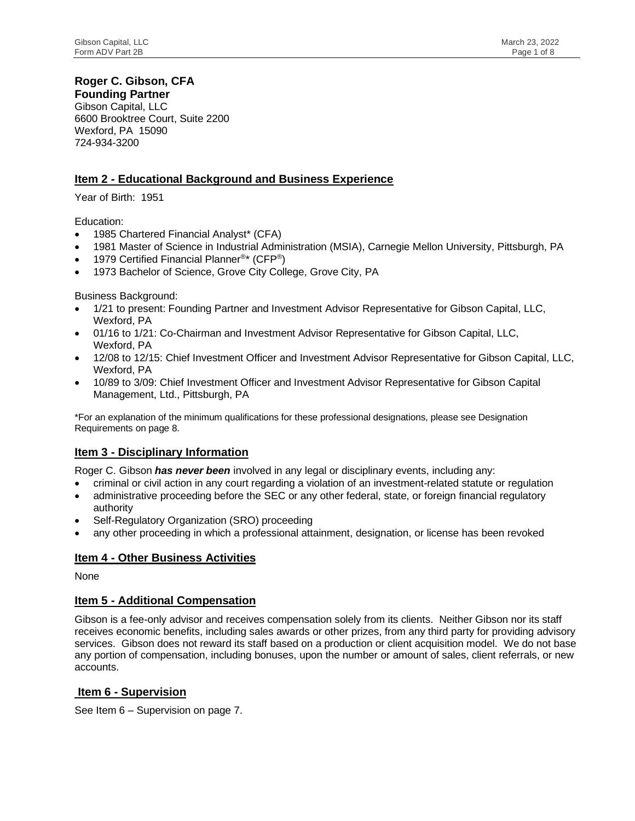# **Roger C. Gibson, CFA**

**Founding Partner** Gibson Capital, LLC 6600 Brooktree Court, Suite 2200 Wexford, PA 15090 724-934-3200

# **Item 2 - Educational Background and Business Experience**

Year of Birth: 1951

Education:

- 1985 Chartered Financial Analyst\* (CFA)
- 1981 Master of Science in Industrial Administration (MSIA), Carnegie Mellon University, Pittsburgh, PA
- 1979 Certified Financial Planner<sup>®\*</sup> (CFP<sup>®</sup>)
- 1973 Bachelor of Science, Grove City College, Grove City, PA

Business Background:

- 1/21 to present: Founding Partner and Investment Advisor Representative for Gibson Capital, LLC, Wexford, PA
- 01/16 to 1/21: Co-Chairman and Investment Advisor Representative for Gibson Capital, LLC, Wexford, PA
- 12/08 to 12/15: Chief Investment Officer and Investment Advisor Representative for Gibson Capital, LLC, Wexford, PA
- 10/89 to 3/09: Chief Investment Officer and Investment Advisor Representative for Gibson Capital Management, Ltd., Pittsburgh, PA

\*For an explanation of the minimum qualifications for these professional designations, please see Designation Requirements on page 8.

# **Item 3 - Disciplinary Information**

Roger C. Gibson *has never been* involved in any legal or disciplinary events, including any:

- criminal or civil action in any court regarding a violation of an investment-related statute or regulation
- administrative proceeding before the SEC or any other federal, state, or foreign financial regulatory authority
- Self-Regulatory Organization (SRO) proceeding
- any other proceeding in which a professional attainment, designation, or license has been revoked

# **Item 4 - Other Business Activities**

None

# **Item 5 - Additional Compensation**

Gibson is a fee-only advisor and receives compensation solely from its clients. Neither Gibson nor its staff receives economic benefits, including sales awards or other prizes, from any third party for providing advisory services. Gibson does not reward its staff based on a production or client acquisition model. We do not base any portion of compensation, including bonuses, upon the number or amount of sales, client referrals, or new accounts.

# **Item 6 - Supervision**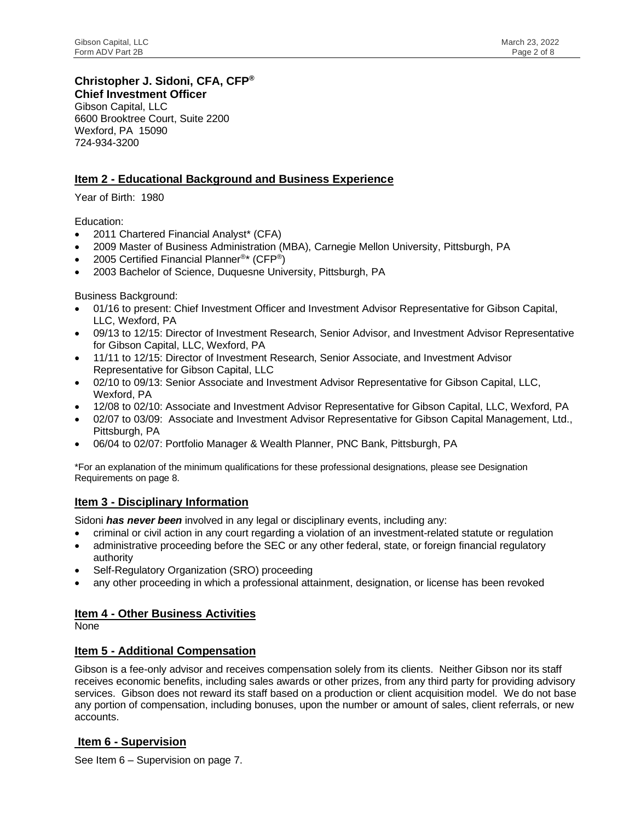# **Christopher J. Sidoni, CFA, CFP®**

**Chief Investment Officer** Gibson Capital, LLC 6600 Brooktree Court, Suite 2200 Wexford, PA 15090 724-934-3200

# **Item 2 - Educational Background and Business Experience**

Year of Birth: 1980

Education:

- 2011 Chartered Financial Analyst\* (CFA)
- 2009 Master of Business Administration (MBA), Carnegie Mellon University, Pittsburgh, PA
- 2005 Certified Financial Planner<sup>®\*</sup> (CFP<sup>®</sup>)
- 2003 Bachelor of Science, Duquesne University, Pittsburgh, PA

Business Background:

- 01/16 to present: Chief Investment Officer and Investment Advisor Representative for Gibson Capital, LLC, Wexford, PA
- 09/13 to 12/15: Director of Investment Research, Senior Advisor, and Investment Advisor Representative for Gibson Capital, LLC, Wexford, PA
- 11/11 to 12/15: Director of Investment Research, Senior Associate, and Investment Advisor Representative for Gibson Capital, LLC
- 02/10 to 09/13: Senior Associate and Investment Advisor Representative for Gibson Capital, LLC, Wexford, PA
- 12/08 to 02/10: Associate and Investment Advisor Representative for Gibson Capital, LLC, Wexford, PA
- 02/07 to 03/09: Associate and Investment Advisor Representative for Gibson Capital Management, Ltd., Pittsburgh, PA
- 06/04 to 02/07: Portfolio Manager & Wealth Planner, PNC Bank, Pittsburgh, PA

\*For an explanation of the minimum qualifications for these professional designations, please see Designation Requirements on page 8.

# **Item 3 - Disciplinary Information**

Sidoni *has never been* involved in any legal or disciplinary events, including any:

- criminal or civil action in any court regarding a violation of an investment-related statute or regulation
- administrative proceeding before the SEC or any other federal, state, or foreign financial regulatory authority
- Self-Regulatory Organization (SRO) proceeding
- any other proceeding in which a professional attainment, designation, or license has been revoked

# **Item 4 - Other Business Activities**

None

# **Item 5 - Additional Compensation**

Gibson is a fee-only advisor and receives compensation solely from its clients. Neither Gibson nor its staff receives economic benefits, including sales awards or other prizes, from any third party for providing advisory services. Gibson does not reward its staff based on a production or client acquisition model. We do not base any portion of compensation, including bonuses, upon the number or amount of sales, client referrals, or new accounts.

# **Item 6 - Supervision**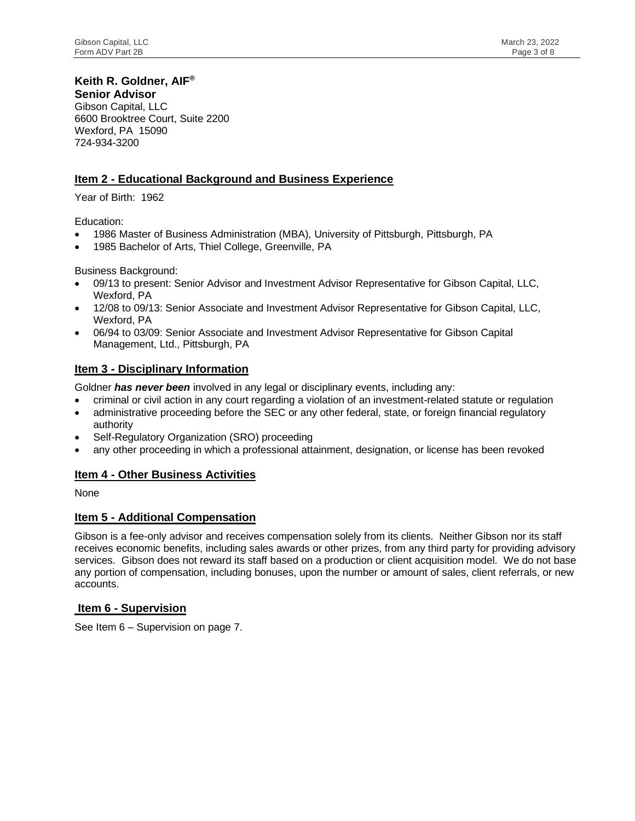# **Keith R. Goldner, AIF®**

**Senior Advisor** Gibson Capital, LLC 6600 Brooktree Court, Suite 2200 Wexford, PA 15090 724-934-3200

# **Item 2 - Educational Background and Business Experience**

Year of Birth: 1962

Education:

- 1986 Master of Business Administration (MBA), University of Pittsburgh, Pittsburgh, PA
- 1985 Bachelor of Arts, Thiel College, Greenville, PA

Business Background:

- 09/13 to present: Senior Advisor and Investment Advisor Representative for Gibson Capital, LLC, Wexford, PA
- 12/08 to 09/13: Senior Associate and Investment Advisor Representative for Gibson Capital, LLC, Wexford, PA
- 06/94 to 03/09: Senior Associate and Investment Advisor Representative for Gibson Capital Management, Ltd., Pittsburgh, PA

# **Item 3 - Disciplinary Information**

Goldner *has never been* involved in any legal or disciplinary events, including any:

- criminal or civil action in any court regarding a violation of an investment-related statute or regulation
- administrative proceeding before the SEC or any other federal, state, or foreign financial regulatory authority
- Self-Regulatory Organization (SRO) proceeding
- any other proceeding in which a professional attainment, designation, or license has been revoked

# **Item 4 - Other Business Activities**

None

# **Item 5 - Additional Compensation**

Gibson is a fee-only advisor and receives compensation solely from its clients. Neither Gibson nor its staff receives economic benefits, including sales awards or other prizes, from any third party for providing advisory services. Gibson does not reward its staff based on a production or client acquisition model. We do not base any portion of compensation, including bonuses, upon the number or amount of sales, client referrals, or new accounts.

# **Item 6 - Supervision**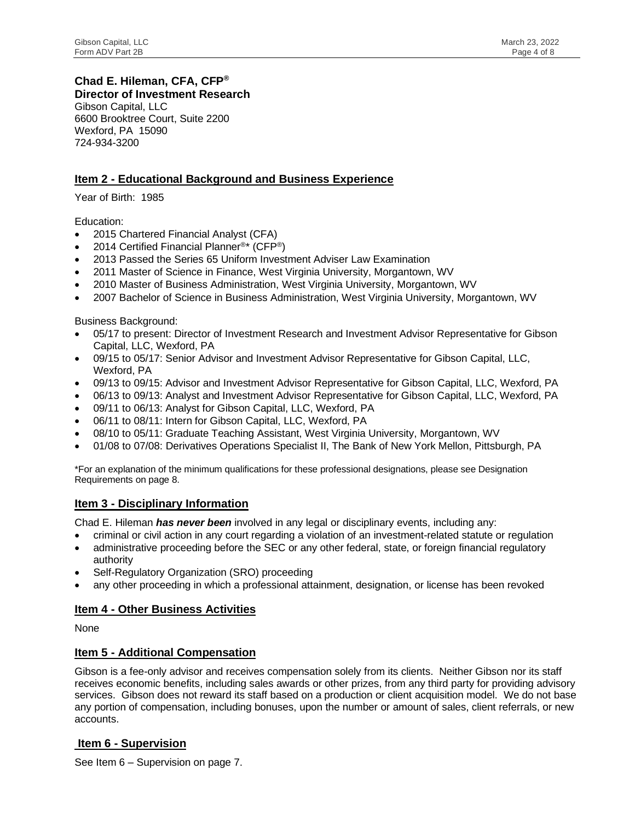# **Chad E. Hileman, CFA, CFP®**

**Director of Investment Research** Gibson Capital, LLC 6600 Brooktree Court, Suite 2200 Wexford, PA 15090 724-934-3200

# **Item 2 - Educational Background and Business Experience**

Year of Birth: 1985

#### Education:

- 2015 Chartered Financial Analyst (CFA)
- 2014 Certified Financial Planner<sup>®\*</sup> (CFP<sup>®</sup>)
- 2013 Passed the Series 65 Uniform Investment Adviser Law Examination
- 2011 Master of Science in Finance, West Virginia University, Morgantown, WV
- 2010 Master of Business Administration, West Virginia University, Morgantown, WV
- 2007 Bachelor of Science in Business Administration, West Virginia University, Morgantown, WV

Business Background:

- 05/17 to present: Director of Investment Research and Investment Advisor Representative for Gibson Capital, LLC, Wexford, PA
- 09/15 to 05/17: Senior Advisor and Investment Advisor Representative for Gibson Capital, LLC, Wexford, PA
- 09/13 to 09/15: Advisor and Investment Advisor Representative for Gibson Capital, LLC, Wexford, PA
- 06/13 to 09/13: Analyst and Investment Advisor Representative for Gibson Capital, LLC, Wexford, PA
- 09/11 to 06/13: Analyst for Gibson Capital, LLC, Wexford, PA
- 06/11 to 08/11: Intern for Gibson Capital, LLC, Wexford, PA
- 08/10 to 05/11: Graduate Teaching Assistant, West Virginia University, Morgantown, WV
- 01/08 to 07/08: Derivatives Operations Specialist II, The Bank of New York Mellon, Pittsburgh, PA

\*For an explanation of the minimum qualifications for these professional designations, please see Designation Requirements on page 8.

# **Item 3 - Disciplinary Information**

Chad E. Hileman *has never been* involved in any legal or disciplinary events, including any:

- criminal or civil action in any court regarding a violation of an investment-related statute or regulation
- administrative proceeding before the SEC or any other federal, state, or foreign financial regulatory authority
- Self-Regulatory Organization (SRO) proceeding
- any other proceeding in which a professional attainment, designation, or license has been revoked

# **Item 4 - Other Business Activities**

None

# **Item 5 - Additional Compensation**

Gibson is a fee-only advisor and receives compensation solely from its clients. Neither Gibson nor its staff receives economic benefits, including sales awards or other prizes, from any third party for providing advisory services. Gibson does not reward its staff based on a production or client acquisition model. We do not base any portion of compensation, including bonuses, upon the number or amount of sales, client referrals, or new accounts.

# **Item 6 - Supervision**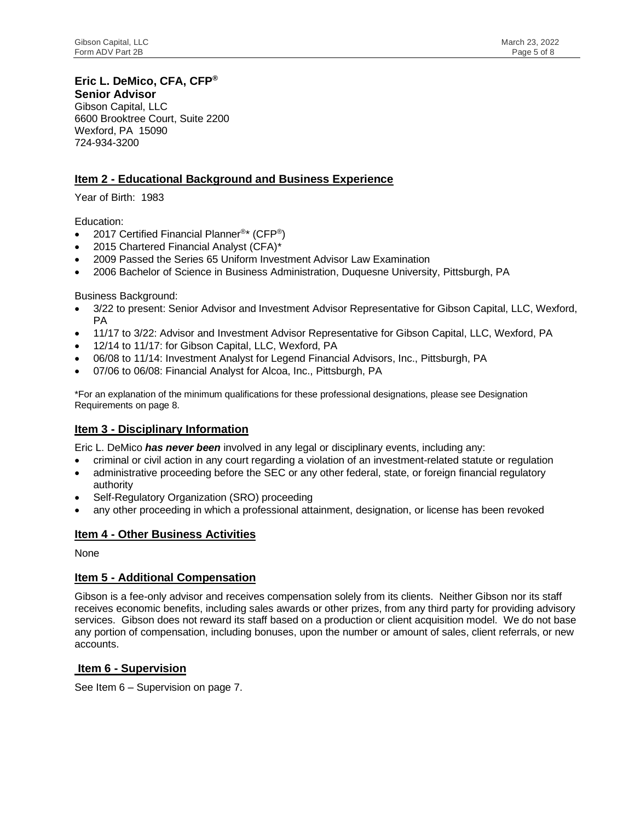# **Eric L. DeMico, CFA, CFP®**

**Senior Advisor** Gibson Capital, LLC 6600 Brooktree Court, Suite 2200 Wexford, PA 15090 724-934-3200

# **Item 2 - Educational Background and Business Experience**

Year of Birth: 1983

Education:

- 2017 Certified Financial Planner<sup>®\*</sup> (CFP<sup>®</sup>)
- 2015 Chartered Financial Analyst (CFA)\*
- 2009 Passed the Series 65 Uniform Investment Advisor Law Examination
- 2006 Bachelor of Science in Business Administration, Duquesne University, Pittsburgh, PA

Business Background:

- 3/22 to present: Senior Advisor and Investment Advisor Representative for Gibson Capital, LLC, Wexford, PA
- 11/17 to 3/22: Advisor and Investment Advisor Representative for Gibson Capital, LLC, Wexford, PA
- 12/14 to 11/17: for Gibson Capital, LLC, Wexford, PA
- 06/08 to 11/14: Investment Analyst for Legend Financial Advisors, Inc., Pittsburgh, PA
- 07/06 to 06/08: Financial Analyst for Alcoa, Inc., Pittsburgh, PA

\*For an explanation of the minimum qualifications for these professional designations, please see Designation Requirements on page 8.

# **Item 3 - Disciplinary Information**

Eric L. DeMico *has never been* involved in any legal or disciplinary events, including any:

- criminal or civil action in any court regarding a violation of an investment-related statute or regulation
- administrative proceeding before the SEC or any other federal, state, or foreign financial regulatory authority
- Self-Regulatory Organization (SRO) proceeding
- any other proceeding in which a professional attainment, designation, or license has been revoked

# **Item 4 - Other Business Activities**

None

#### **Item 5 - Additional Compensation**

Gibson is a fee-only advisor and receives compensation solely from its clients. Neither Gibson nor its staff receives economic benefits, including sales awards or other prizes, from any third party for providing advisory services. Gibson does not reward its staff based on a production or client acquisition model. We do not base any portion of compensation, including bonuses, upon the number or amount of sales, client referrals, or new accounts.

#### **Item 6 - Supervision**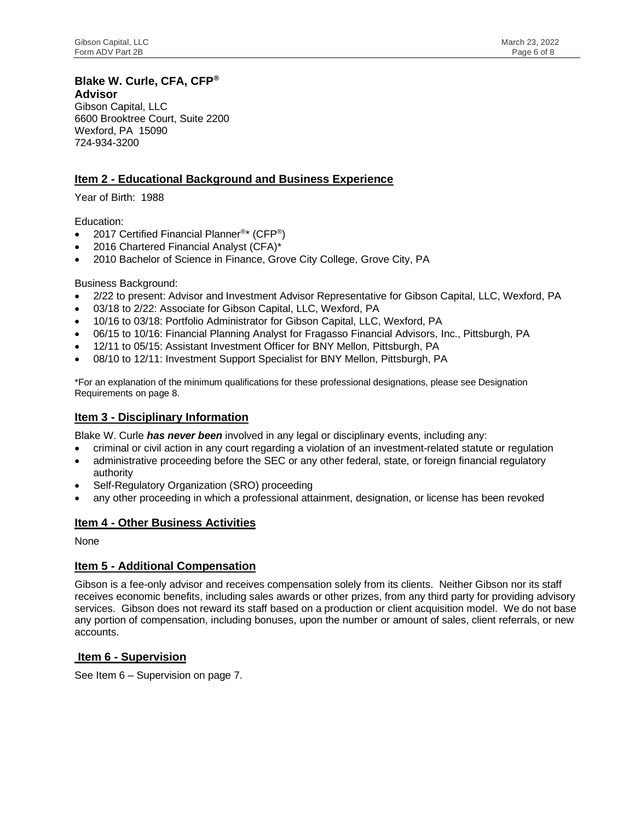#### **Blake W. Curle, CFA, CFP® Advisor**

Gibson Capital, LLC 6600 Brooktree Court, Suite 2200 Wexford, PA 15090 724-934-3200

# **Item 2 - Educational Background and Business Experience**

Year of Birth: 1988

Education:

- 2017 Certified Financial Planner<sup>®\*</sup> (CFP<sup>®</sup>)
- 2016 Chartered Financial Analyst (CFA)\*
- 2010 Bachelor of Science in Finance, Grove City College, Grove City, PA

Business Background:

- 2/22 to present: Advisor and Investment Advisor Representative for Gibson Capital, LLC, Wexford, PA
- 03/18 to 2/22: Associate for Gibson Capital, LLC, Wexford, PA
- 10/16 to 03/18: Portfolio Administrator for Gibson Capital, LLC, Wexford, PA
- 06/15 to 10/16: Financial Planning Analyst for Fragasso Financial Advisors, Inc., Pittsburgh, PA
- 12/11 to 05/15: Assistant Investment Officer for BNY Mellon, Pittsburgh, PA
- 08/10 to 12/11: Investment Support Specialist for BNY Mellon, Pittsburgh, PA

\*For an explanation of the minimum qualifications for these professional designations, please see Designation Requirements on page 8.

#### **Item 3 - Disciplinary Information**

Blake W. Curle *has never been* involved in any legal or disciplinary events, including any:

- criminal or civil action in any court regarding a violation of an investment-related statute or regulation
- administrative proceeding before the SEC or any other federal, state, or foreign financial regulatory authority
- Self-Regulatory Organization (SRO) proceeding
- any other proceeding in which a professional attainment, designation, or license has been revoked

# **Item 4 - Other Business Activities**

None

# **Item 5 - Additional Compensation**

Gibson is a fee-only advisor and receives compensation solely from its clients. Neither Gibson nor its staff receives economic benefits, including sales awards or other prizes, from any third party for providing advisory services. Gibson does not reward its staff based on a production or client acquisition model. We do not base any portion of compensation, including bonuses, upon the number or amount of sales, client referrals, or new accounts.

# **Item 6 - Supervision**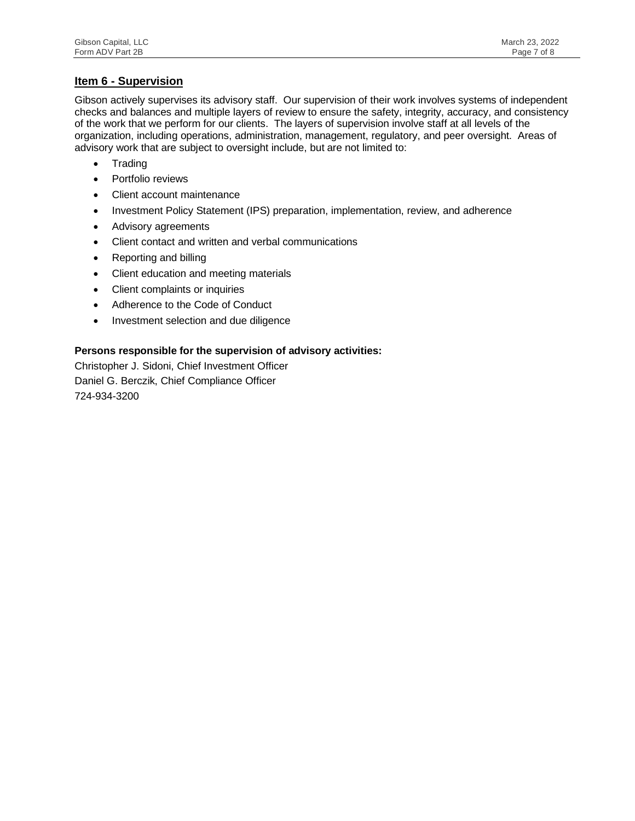#### **Item 6 - Supervision**

Gibson actively supervises its advisory staff. Our supervision of their work involves systems of independent checks and balances and multiple layers of review to ensure the safety, integrity, accuracy, and consistency of the work that we perform for our clients. The layers of supervision involve staff at all levels of the organization, including operations, administration, management, regulatory, and peer oversight. Areas of advisory work that are subject to oversight include, but are not limited to:

- Trading
- Portfolio reviews
- Client account maintenance
- Investment Policy Statement (IPS) preparation, implementation, review, and adherence
- Advisory agreements
- Client contact and written and verbal communications
- Reporting and billing
- Client education and meeting materials
- Client complaints or inquiries
- Adherence to the Code of Conduct
- Investment selection and due diligence

#### **Persons responsible for the supervision of advisory activities:**

Christopher J. Sidoni, Chief Investment Officer Daniel G. Berczik, Chief Compliance Officer 724-934-3200